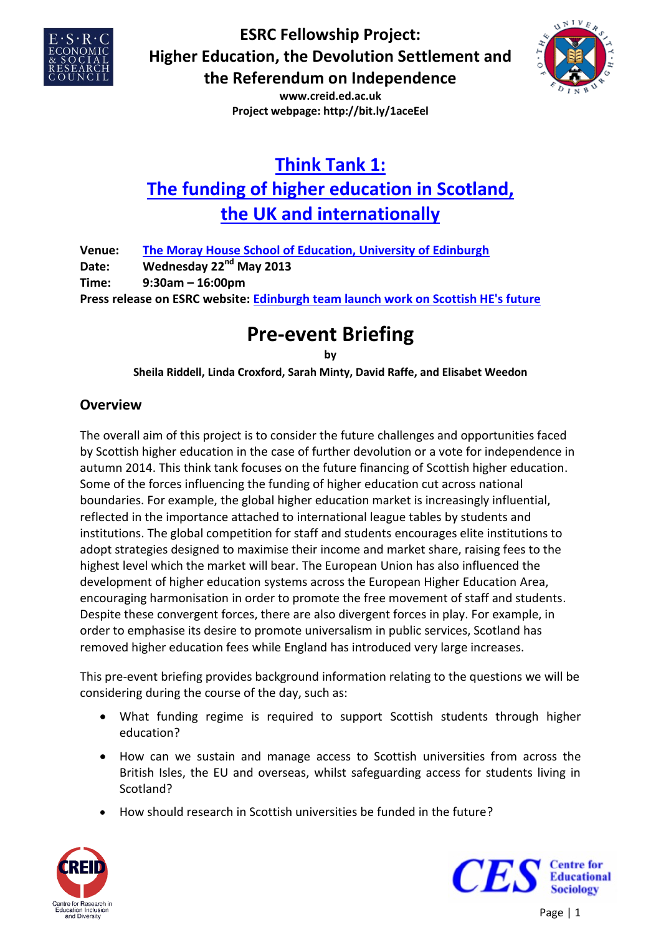



**www.creid.ed.ac.uk Project webpage: http://bit.ly/1aceEel**

# **[Think Tank 1:](http://bit.ly/17JYeFn) The [funding of higher education in Scotland,](http://bit.ly/17JYeFn)  [the UK and internationally](http://bit.ly/17JYeFn)**

| Venue: | The Moray House School of Education, University of Edinburgh                      |
|--------|-----------------------------------------------------------------------------------|
| Date:  | Wednesday 22 <sup>nd</sup> May 2013                                               |
| Time:  | $9:30$ am – 16:00pm                                                               |
|        | Press release on ESRC website: Edinburgh team launch work on Scottish HE's future |

# **Pre-event Briefing**

**by Sheila Riddell, Linda Croxford, Sarah Minty, David Raffe, and Elisabet Weedon**

## **Overview**

The overall aim of this project is to consider the future challenges and opportunities faced by Scottish higher education in the case of further devolution or a vote for independence in autumn 2014. This think tank focuses on the future financing of Scottish higher education. Some of the forces influencing the funding of higher education cut across national boundaries. For example, the global higher education market is increasingly influential, reflected in the importance attached to international league tables by students and institutions. The global competition for staff and students encourages elite institutions to adopt strategies designed to maximise their income and market share, raising fees to the highest level which the market will bear. The European Union has also influenced the development of higher education systems across the European Higher Education Area, encouraging harmonisation in order to promote the free movement of staff and students. Despite these convergent forces, there are also divergent forces in play. For example, in order to emphasise its desire to promote universalism in public services, Scotland has removed higher education fees while England has introduced very large increases.

This pre-event briefing provides background information relating to the questions we will be considering during the course of the day, such as:

- What funding regime is required to support Scottish students through higher education?
- How can we sustain and manage access to Scottish universities from across the British Isles, the EU and overseas, whilst safeguarding access for students living in Scotland?
- How should research in Scottish universities be funded in the future?



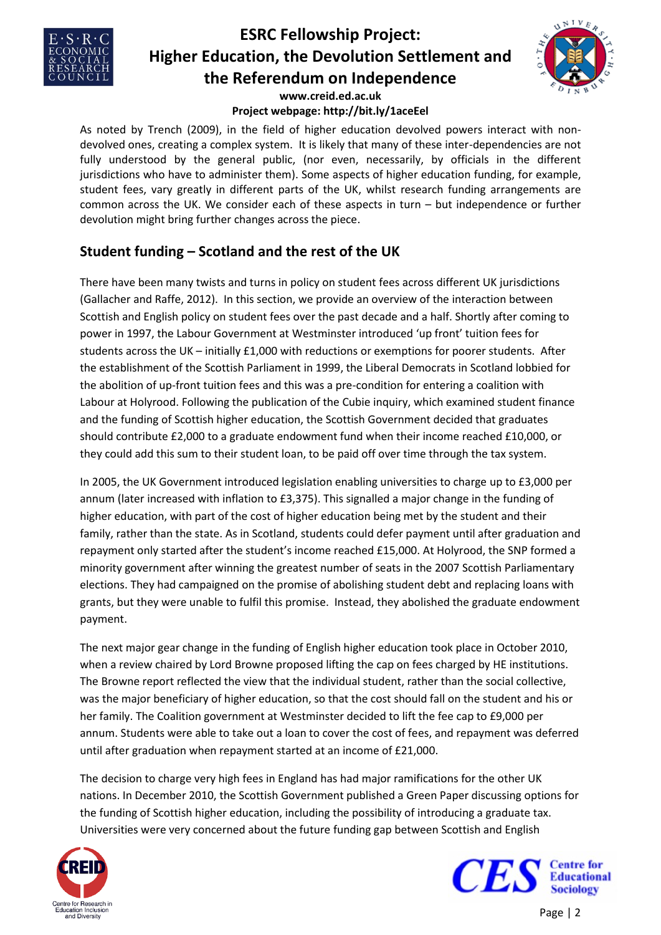



## **Project webpage: http://bit.ly/1aceEel**

As noted by Trench (2009), in the field of higher education devolved powers interact with nondevolved ones, creating a complex system. It is likely that many of these inter-dependencies are not fully understood by the general public, (nor even, necessarily, by officials in the different jurisdictions who have to administer them). Some aspects of higher education funding, for example, student fees, vary greatly in different parts of the UK, whilst research funding arrangements are common across the UK. We consider each of these aspects in turn – but independence or further devolution might bring further changes across the piece.

## **Student funding – Scotland and the rest of the UK**

There have been many twists and turns in policy on student fees across different UK jurisdictions (Gallacher and Raffe, 2012). In this section, we provide an overview of the interaction between Scottish and English policy on student fees over the past decade and a half. Shortly after coming to power in 1997, the Labour Government at Westminster introduced 'up front' tuition fees for students across the UK – initially £1,000 with reductions or exemptions for poorer students. After the establishment of the Scottish Parliament in 1999, the Liberal Democrats in Scotland lobbied for the abolition of up-front tuition fees and this was a pre-condition for entering a coalition with Labour at Holyrood. Following the publication of the Cubie inquiry, which examined student finance and the funding of Scottish higher education, the Scottish Government decided that graduates should contribute £2,000 to a graduate endowment fund when their income reached £10,000, or they could add this sum to their student loan, to be paid off over time through the tax system.

In 2005, the UK Government introduced legislation enabling universities to charge up to £3,000 per annum (later increased with inflation to £3,375). This signalled a major change in the funding of higher education, with part of the cost of higher education being met by the student and their family, rather than the state. As in Scotland, students could defer payment until after graduation and repayment only started after the student's income reached £15,000. At Holyrood, the SNP formed a minority government after winning the greatest number of seats in the 2007 Scottish Parliamentary elections. They had campaigned on the promise of abolishing student debt and replacing loans with grants, but they were unable to fulfil this promise. Instead, they abolished the graduate endowment payment.

The next major gear change in the funding of English higher education took place in October 2010, when a review chaired by Lord Browne proposed lifting the cap on fees charged by HE institutions. The Browne report reflected the view that the individual student, rather than the social collective, was the major beneficiary of higher education, so that the cost should fall on the student and his or her family. The Coalition government at Westminster decided to lift the fee cap to £9,000 per annum. Students were able to take out a loan to cover the cost of fees, and repayment was deferred until after graduation when repayment started at an income of £21,000.

The decision to charge very high fees in England has had major ramifications for the other UK nations. In December 2010, the Scottish Government published a Green Paper discussing options for the funding of Scottish higher education, including the possibility of introducing a graduate tax. Universities were very concerned about the future funding gap between Scottish and English



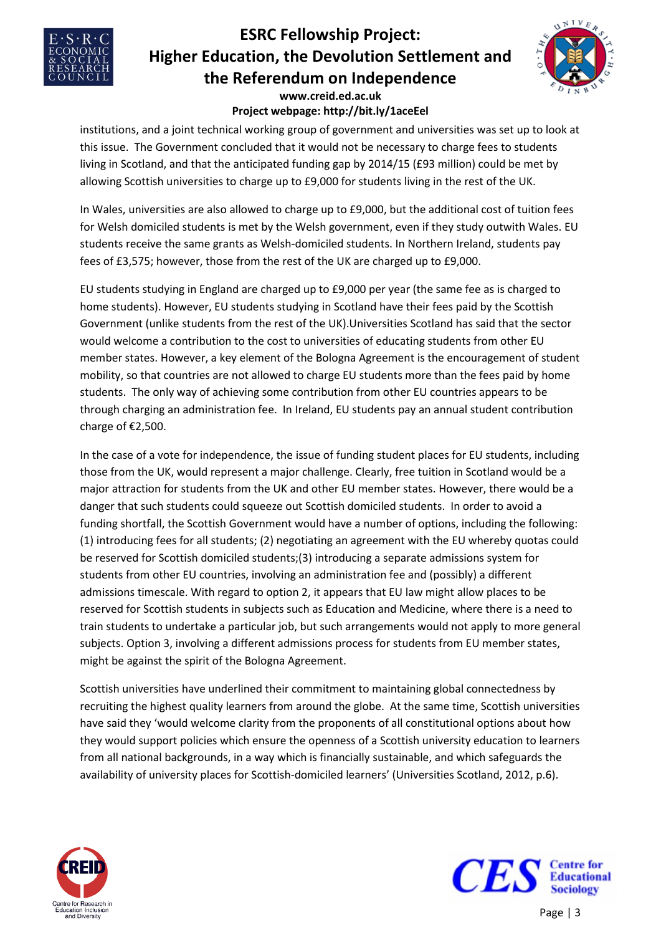



#### **www.creid.ed.ac.uk Project webpage: http://bit.ly/1aceEel**

institutions, and a joint technical working group of government and universities was set up to look at this issue. The Government concluded that it would not be necessary to charge fees to students living in Scotland, and that the anticipated funding gap by 2014/15 (£93 million) could be met by allowing Scottish universities to charge up to £9,000 for students living in the rest of the UK.

In Wales, universities are also allowed to charge up to £9,000, but the additional cost of tuition fees for Welsh domiciled students is met by the Welsh government, even if they study outwith Wales. EU students receive the same grants as Welsh-domiciled students. In Northern Ireland, students pay fees of £3,575; however, those from the rest of the UK are charged up to £9,000.

EU students studying in England are charged up to £9,000 per year (the same fee as is charged to home students). However, EU students studying in Scotland have their fees paid by the Scottish Government (unlike students from the rest of the UK).Universities Scotland has said that the sector would welcome a contribution to the cost to universities of educating students from other EU member states. However, a key element of the Bologna Agreement is the encouragement of student mobility, so that countries are not allowed to charge EU students more than the fees paid by home students. The only way of achieving some contribution from other EU countries appears to be through charging an administration fee. In Ireland, EU students pay an annual student contribution charge of €2,500.

In the case of a vote for independence, the issue of funding student places for EU students, including those from the UK, would represent a major challenge. Clearly, free tuition in Scotland would be a major attraction for students from the UK and other EU member states. However, there would be a danger that such students could squeeze out Scottish domiciled students. In order to avoid a funding shortfall, the Scottish Government would have a number of options, including the following: (1) introducing fees for all students; (2) negotiating an agreement with the EU whereby quotas could be reserved for Scottish domiciled students;(3) introducing a separate admissions system for students from other EU countries, involving an administration fee and (possibly) a different admissions timescale. With regard to option 2, it appears that EU law might allow places to be reserved for Scottish students in subjects such as Education and Medicine, where there is a need to train students to undertake a particular job, but such arrangements would not apply to more general subjects. Option 3, involving a different admissions process for students from EU member states, might be against the spirit of the Bologna Agreement.

Scottish universities have underlined their commitment to maintaining global connectedness by recruiting the highest quality learners from around the globe. At the same time, Scottish universities have said they 'would welcome clarity from the proponents of all constitutional options about how they would support policies which ensure the openness of a Scottish university education to learners from all national backgrounds, in a way which is financially sustainable, and which safeguards the availability of university places for Scottish-domiciled learners' (Universities Scotland, 2012, p.6).



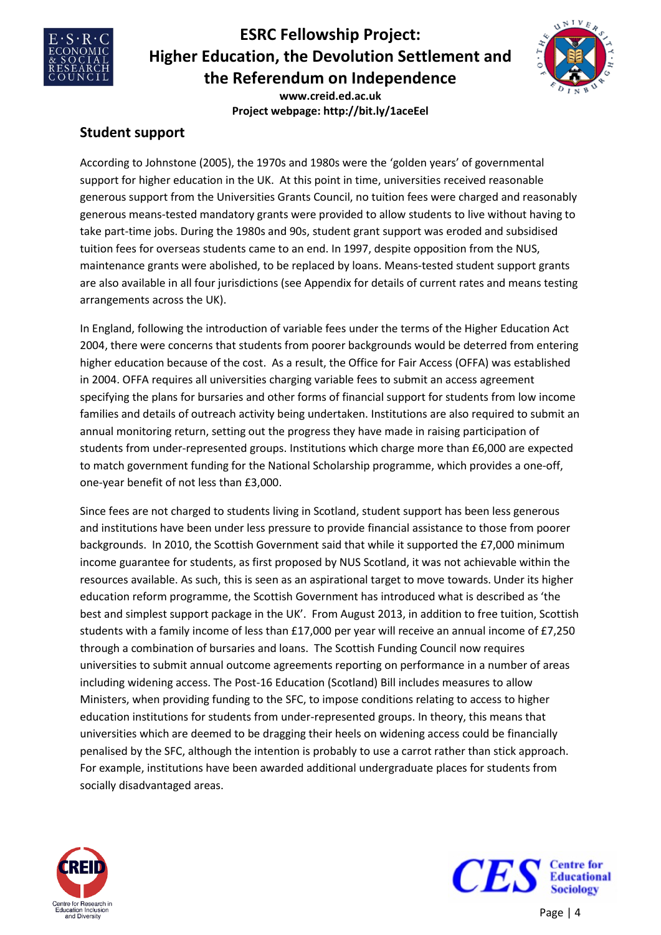



**www.creid.ed.ac.uk Project webpage: http://bit.ly/1aceEel**

### **Student support**

According to Johnstone (2005), the 1970s and 1980s were the 'golden years' of governmental support for higher education in the UK. At this point in time, universities received reasonable generous support from the Universities Grants Council, no tuition fees were charged and reasonably generous means-tested mandatory grants were provided to allow students to live without having to take part-time jobs. During the 1980s and 90s, student grant support was eroded and subsidised tuition fees for overseas students came to an end. In 1997, despite opposition from the NUS, maintenance grants were abolished, to be replaced by loans. Means-tested student support grants are also available in all four jurisdictions (see Appendix for details of current rates and means testing arrangements across the UK).

In England, following the introduction of variable fees under the terms of the Higher Education Act 2004, there were concerns that students from poorer backgrounds would be deterred from entering higher education because of the cost. As a result, the Office for Fair Access (OFFA) was established in 2004. OFFA requires all universities charging variable fees to submit an access agreement specifying the plans for bursaries and other forms of financial support for students from low income families and details of outreach activity being undertaken. Institutions are also required to submit an annual monitoring return, setting out the progress they have made in raising participation of students from under-represented groups. Institutions which charge more than £6,000 are expected to match government funding for the National Scholarship programme, which provides a one-off, one-year benefit of not less than £3,000.

Since fees are not charged to students living in Scotland, student support has been less generous and institutions have been under less pressure to provide financial assistance to those from poorer backgrounds. In 2010, the Scottish Government said that while it supported the £7,000 minimum income guarantee for students, as first proposed by NUS Scotland, it was not achievable within the resources available. As such, this is seen as an aspirational target to move towards. Under its higher education reform programme, the Scottish Government has introduced what is described as 'the best and simplest support package in the UK'. From August 2013, in addition to free tuition, Scottish students with a family income of less than £17,000 per year will receive an annual income of £7,250 through a combination of bursaries and loans. The Scottish Funding Council now requires universities to submit annual outcome agreements reporting on performance in a number of areas including widening access. The Post-16 Education (Scotland) Bill includes measures to allow Ministers, when providing funding to the SFC, to impose conditions relating to access to higher education institutions for students from under-represented groups. In theory, this means that universities which are deemed to be dragging their heels on widening access could be financially penalised by the SFC, although the intention is probably to use a carrot rather than stick approach. For example, institutions have been awarded additional undergraduate places for students from socially disadvantaged areas.



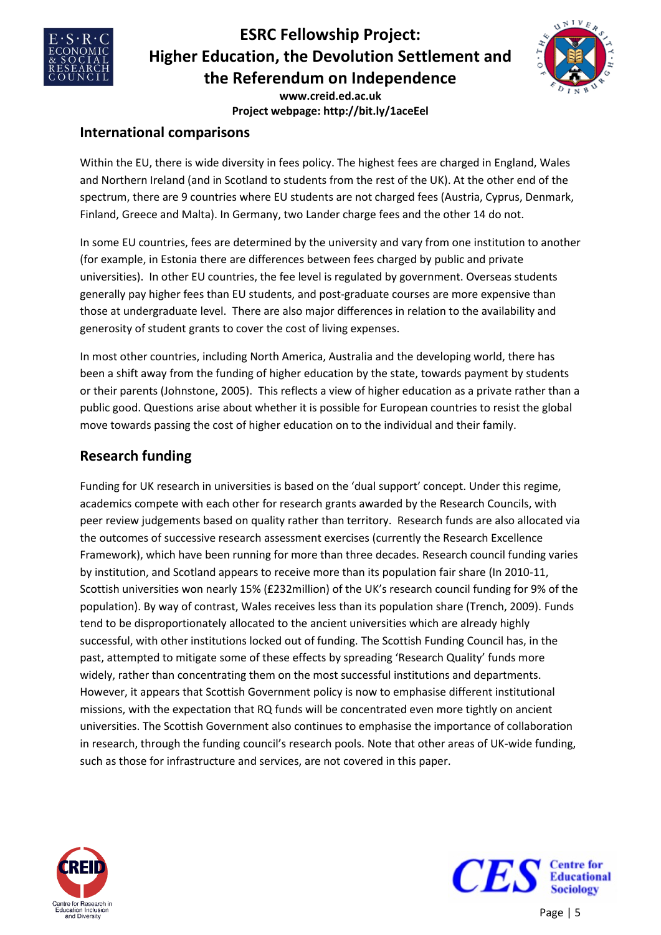



**www.creid.ed.ac.uk Project webpage: http://bit.ly/1aceEel**

### **International comparisons**

Within the EU, there is wide diversity in fees policy. The highest fees are charged in England, Wales and Northern Ireland (and in Scotland to students from the rest of the UK). At the other end of the spectrum, there are 9 countries where EU students are not charged fees (Austria, Cyprus, Denmark, Finland, Greece and Malta). In Germany, two Lander charge fees and the other 14 do not.

In some EU countries, fees are determined by the university and vary from one institution to another (for example, in Estonia there are differences between fees charged by public and private universities). In other EU countries, the fee level is regulated by government. Overseas students generally pay higher fees than EU students, and post-graduate courses are more expensive than those at undergraduate level. There are also major differences in relation to the availability and generosity of student grants to cover the cost of living expenses.

In most other countries, including North America, Australia and the developing world, there has been a shift away from the funding of higher education by the state, towards payment by students or their parents (Johnstone, 2005). This reflects a view of higher education as a private rather than a public good. Questions arise about whether it is possible for European countries to resist the global move towards passing the cost of higher education on to the individual and their family.

## **Research funding**

Funding for UK research in universities is based on the 'dual support' concept. Under this regime, academics compete with each other for research grants awarded by the Research Councils, with peer review judgements based on quality rather than territory. Research funds are also allocated via the outcomes of successive research assessment exercises (currently the Research Excellence Framework), which have been running for more than three decades. Research council funding varies by institution, and Scotland appears to receive more than its population fair share (In 2010-11, Scottish universities won nearly 15% (£232million) of the UK's research council funding for 9% of the population). By way of contrast, Wales receives less than its population share (Trench, 2009). Funds tend to be disproportionately allocated to the ancient universities which are already highly successful, with other institutions locked out of funding. The Scottish Funding Council has, in the past, attempted to mitigate some of these effects by spreading 'Research Quality' funds more widely, rather than concentrating them on the most successful institutions and departments. However, it appears that Scottish Government policy is now to emphasise different institutional missions, with the expectation that RQ funds will be concentrated even more tightly on ancient universities. The Scottish Government also continues to emphasise the importance of collaboration in research, through the funding council's research pools. Note that other areas of UK-wide funding, such as those for infrastructure and services, are not covered in this paper.





Page | 5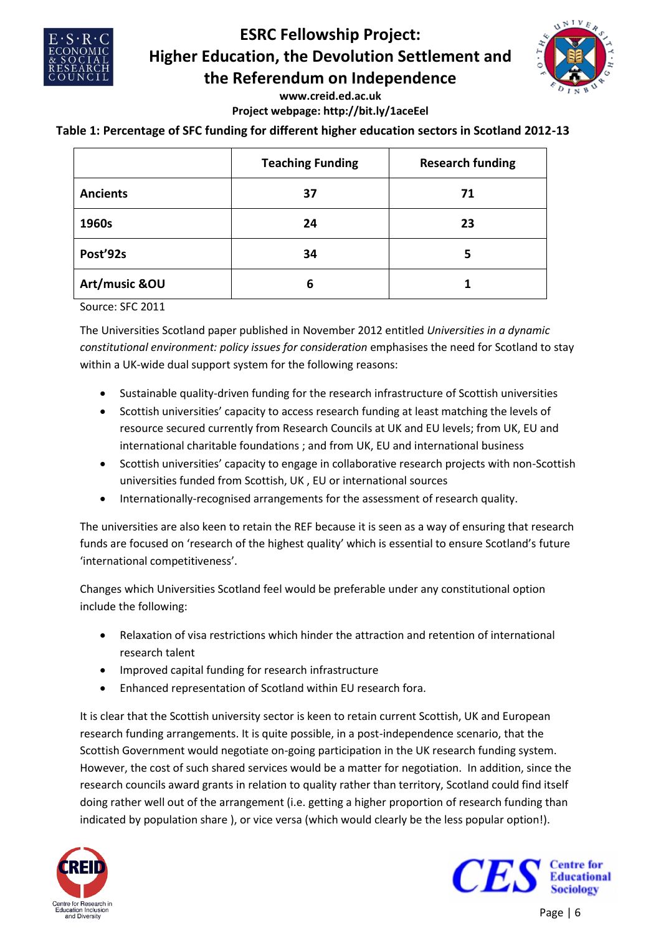



#### **www.creid.ed.ac.uk Project webpage: http://bit.ly/1aceEel**

### **Table 1: Percentage of SFC funding for different higher education sectors in Scotland 2012-13**

|                 | <b>Teaching Funding</b> | <b>Research funding</b> |
|-----------------|-------------------------|-------------------------|
| <b>Ancients</b> | 37                      | 71                      |
| 1960s           | 24                      | 23                      |
| Post'92s        | 34                      | 5                       |
| Art/music &OU   | 6                       |                         |

Source: SFC 2011

The Universities Scotland paper published in November 2012 entitled *Universities in a dynamic constitutional environment: policy issues for consideration* emphasises the need for Scotland to stay within a UK-wide dual support system for the following reasons:

- Sustainable quality-driven funding for the research infrastructure of Scottish universities
- Scottish universities' capacity to access research funding at least matching the levels of resource secured currently from Research Councils at UK and EU levels; from UK, EU and international charitable foundations ; and from UK, EU and international business
- Scottish universities' capacity to engage in collaborative research projects with non-Scottish universities funded from Scottish, UK , EU or international sources
- Internationally-recognised arrangements for the assessment of research quality.

The universities are also keen to retain the REF because it is seen as a way of ensuring that research funds are focused on 'research of the highest quality' which is essential to ensure Scotland's future 'international competitiveness'.

Changes which Universities Scotland feel would be preferable under any constitutional option include the following:

- Relaxation of visa restrictions which hinder the attraction and retention of international research talent
- Improved capital funding for research infrastructure
- Enhanced representation of Scotland within EU research fora.

It is clear that the Scottish university sector is keen to retain current Scottish, UK and European research funding arrangements. It is quite possible, in a post-independence scenario, that the Scottish Government would negotiate on-going participation in the UK research funding system. However, the cost of such shared services would be a matter for negotiation. In addition, since the research councils award grants in relation to quality rather than territory, Scotland could find itself doing rather well out of the arrangement (i.e. getting a higher proportion of research funding than indicated by population share ), or vice versa (which would clearly be the less popular option!).



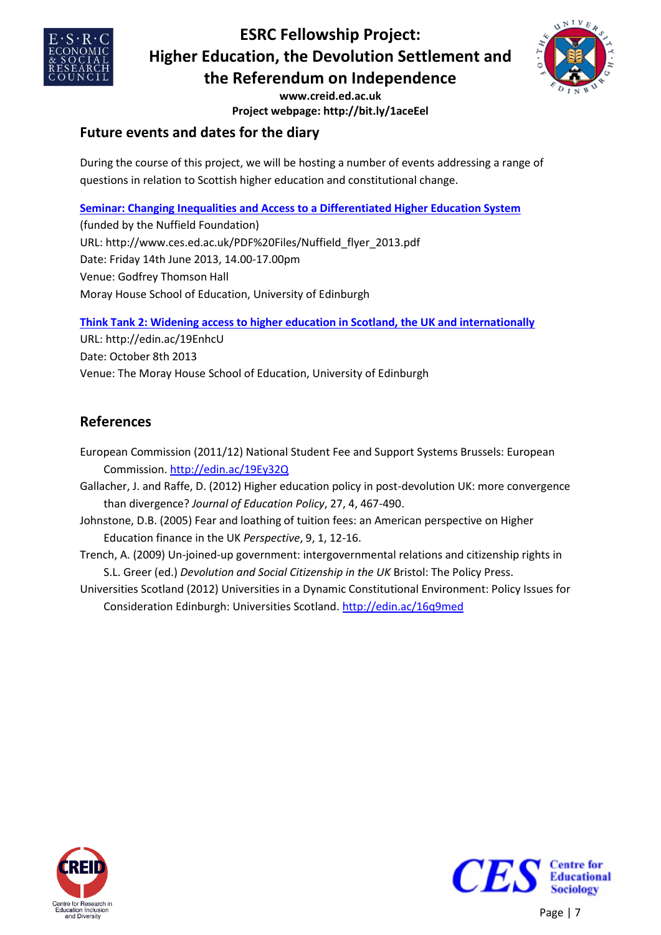



**www.creid.ed.ac.uk Project webpage: http://bit.ly/1aceEel**

## **Future events and dates for the diary**

During the course of this project, we will be hosting a number of events addressing a range of questions in relation to Scottish higher education and constitutional change.

### **[Seminar: Changing Inequalities and Access to a Differentiated Higher Education System](http://www.ces.ed.ac.uk/PDF%20Files/Nuffield_flyer_2013.pdf)**

(funded by the Nuffield Foundation) URL: http://www.ces.ed.ac.uk/PDF%20Files/Nuffield\_flyer\_2013.pdf Date: Friday 14th June 2013, 14.00-17.00pm Venue: Godfrey Thomson Hall Moray House School of Education, University of Edinburgh

**[Think Tank 2: Widening access to higher education in Scotland, the UK and internationally](http://edin.ac/19EnhcU)**

URL: http://edin.ac/19EnhcU Date: October 8th 2013 Venue: The Moray House School of Education, University of Edinburgh

## **References**

- European Commission (2011/12) National Student Fee and Support Systems Brussels: European Commission.<http://edin.ac/19Ey32Q>
- Gallacher, J. and Raffe, D. (2012) Higher education policy in post-devolution UK: more convergence than divergence? *Journal of Education Policy*, 27, 4, 467-490.
- Johnstone, D.B. (2005) Fear and loathing of tuition fees: an American perspective on Higher Education finance in the UK *Perspective*, 9, 1, 12-16.
- Trench, A. (2009) Un-joined-up government: intergovernmental relations and citizenship rights in S.L. Greer (ed.) *Devolution and Social Citizenship in the UK* Bristol: The Policy Press.
- Universities Scotland (2012) Universities in a Dynamic Constitutional Environment: Policy Issues for Consideration Edinburgh: Universities Scotland.<http://edin.ac/16q9med>



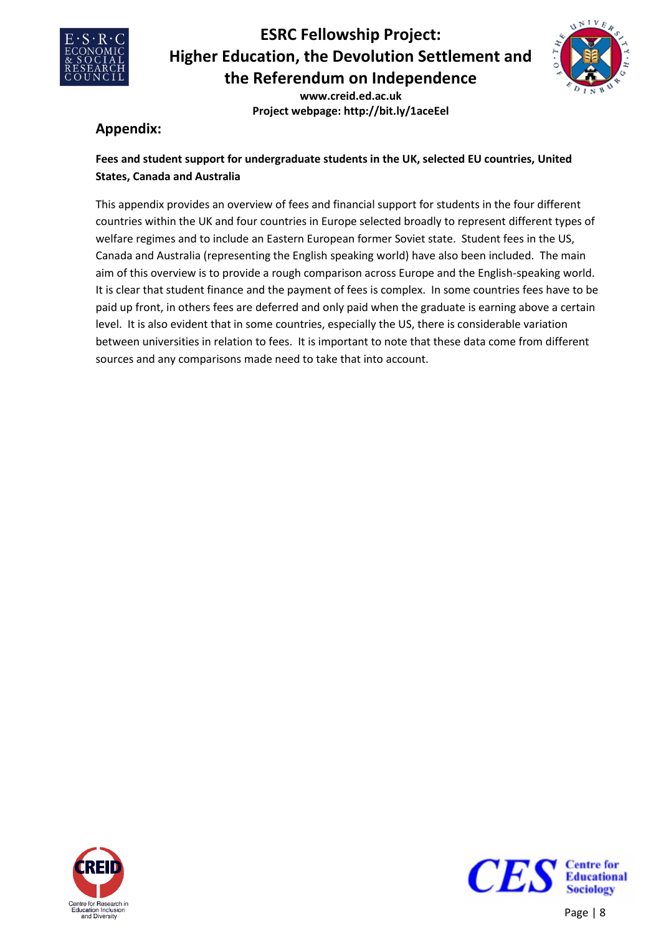



**www.creid.ed.ac.uk Project webpage: http://bit.ly/1aceEel**

## **Appendix:**

### **Fees and student support for undergraduate students in the UK, selected EU countries, United States, Canada and Australia**

This appendix provides an overview of fees and financial support for students in the four different countries within the UK and four countries in Europe selected broadly to represent different types of welfare regimes and to include an Eastern European former Soviet state. Student fees in the US, Canada and Australia (representing the English speaking world) have also been included. The main aim of this overview is to provide a rough comparison across Europe and the English-speaking world. It is clear that student finance and the payment of fees is complex. In some countries fees have to be paid up front, in others fees are deferred and only paid when the graduate is earning above a certain level. It is also evident that in some countries, especially the US, there is considerable variation between universities in relation to fees. It is important to note that these data come from different sources and any comparisons made need to take that into account.



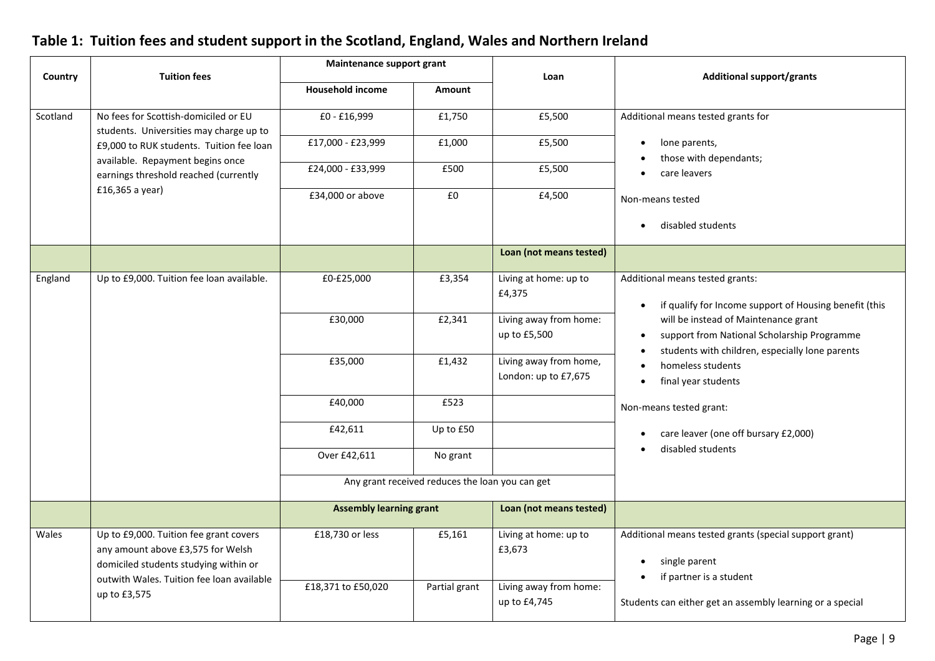|          |                                                                                                                                                                   | Maintenance support grant      |                                                 |                                                |                                                                                                                                        |  |  |
|----------|-------------------------------------------------------------------------------------------------------------------------------------------------------------------|--------------------------------|-------------------------------------------------|------------------------------------------------|----------------------------------------------------------------------------------------------------------------------------------------|--|--|
| Country  | <b>Tuition fees</b>                                                                                                                                               | <b>Household income</b>        | Amount                                          | Loan                                           | <b>Additional support/grants</b>                                                                                                       |  |  |
| Scotland | No fees for Scottish-domiciled or EU<br>students. Universities may charge up to                                                                                   | £0 - £16,999                   | £1,750                                          | £5,500                                         | Additional means tested grants for                                                                                                     |  |  |
|          | £9,000 to RUK students. Tuition fee loan<br>available. Repayment begins once                                                                                      | £17,000 - £23,999              | £1,000                                          | £5,500                                         | lone parents,<br>those with dependants;                                                                                                |  |  |
|          | earnings threshold reached (currently                                                                                                                             | £24,000 - £33,999              | £500                                            | £5,500                                         | care leavers                                                                                                                           |  |  |
|          | £16,365 a year)                                                                                                                                                   | £34,000 or above               | £0                                              | £4,500                                         | Non-means tested                                                                                                                       |  |  |
|          |                                                                                                                                                                   |                                |                                                 |                                                | disabled students<br>$\bullet$                                                                                                         |  |  |
|          |                                                                                                                                                                   |                                |                                                 | Loan (not means tested)                        |                                                                                                                                        |  |  |
| England  | Up to £9,000. Tuition fee loan available.                                                                                                                         | £0-£25,000                     | £3,354                                          | Living at home: up to<br>£4,375                | Additional means tested grants:<br>if qualify for Income support of Housing benefit (this<br>$\bullet$                                 |  |  |
|          |                                                                                                                                                                   | £30,000                        | £2,341                                          | Living away from home:<br>up to £5,500         | will be instead of Maintenance grant<br>support from National Scholarship Programme<br>students with children, especially lone parents |  |  |
|          |                                                                                                                                                                   | £35,000                        | £1,432                                          | Living away from home,<br>London: up to £7,675 | homeless students<br>final year students                                                                                               |  |  |
|          |                                                                                                                                                                   | £40,000                        | £523                                            |                                                | Non-means tested grant:                                                                                                                |  |  |
|          |                                                                                                                                                                   | £42,611                        | Up to £50                                       |                                                | care leaver (one off bursary £2,000)<br>٠<br>disabled students                                                                         |  |  |
|          |                                                                                                                                                                   | Over £42,611                   | No grant                                        |                                                |                                                                                                                                        |  |  |
|          |                                                                                                                                                                   |                                | Any grant received reduces the loan you can get |                                                |                                                                                                                                        |  |  |
|          |                                                                                                                                                                   | <b>Assembly learning grant</b> |                                                 | Loan (not means tested)                        |                                                                                                                                        |  |  |
| Wales    | Up to £9,000. Tuition fee grant covers<br>any amount above £3,575 for Welsh<br>domiciled students studying within or<br>outwith Wales. Tuition fee loan available | £18,730 or less                | £5,161                                          | Living at home: up to<br>£3,673                | Additional means tested grants (special support grant)<br>single parent<br>if partner is a student                                     |  |  |
|          | up to £3,575                                                                                                                                                      | £18,371 to £50,020             | Partial grant                                   | Living away from home:<br>up to £4,745         | Students can either get an assembly learning or a special                                                                              |  |  |

## **Table 1: Tuition fees and student support in the Scotland, England, Wales and Northern Ireland**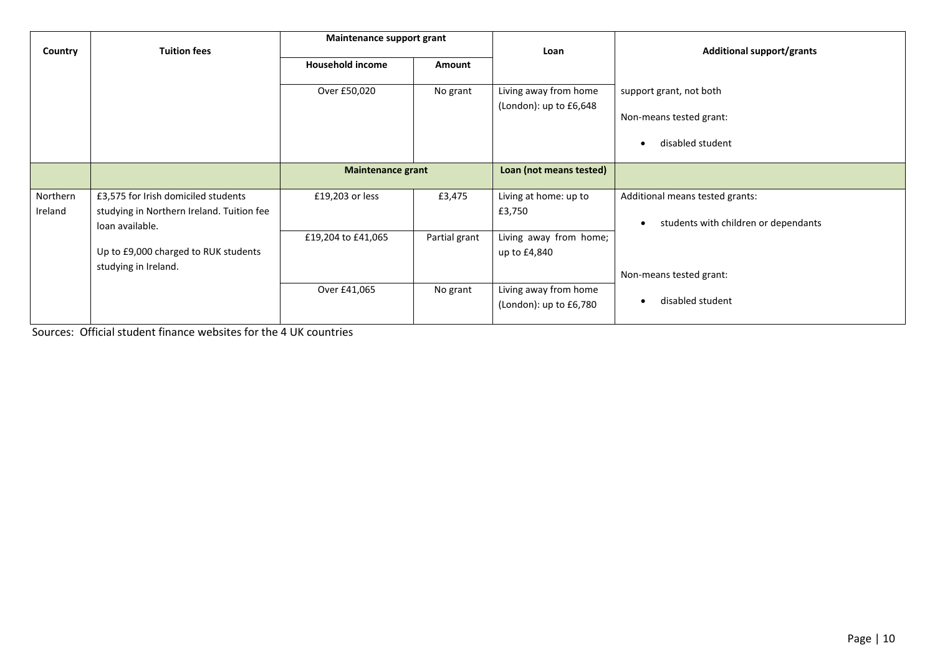|          |                                           | Maintenance support grant         |               |                         | <b>Additional support/grants</b>     |  |
|----------|-------------------------------------------|-----------------------------------|---------------|-------------------------|--------------------------------------|--|
| Country  | <b>Tuition fees</b>                       | <b>Household income</b><br>Amount |               | Loan                    |                                      |  |
|          |                                           |                                   |               |                         |                                      |  |
|          |                                           | Over £50,020                      | No grant      | Living away from home   | support grant, not both              |  |
|          |                                           |                                   |               | (London): up to £6,648  |                                      |  |
|          |                                           |                                   |               |                         | Non-means tested grant:              |  |
|          |                                           |                                   |               |                         | disabled student                     |  |
|          |                                           |                                   |               |                         |                                      |  |
|          |                                           | <b>Maintenance grant</b>          |               | Loan (not means tested) |                                      |  |
|          |                                           |                                   |               |                         |                                      |  |
| Northern | £3,575 for Irish domiciled students       | £19,203 or less                   | £3,475        | Living at home: up to   | Additional means tested grants:      |  |
| Ireland  | studying in Northern Ireland. Tuition fee |                                   |               | £3,750                  |                                      |  |
|          | loan available.                           |                                   |               |                         | students with children or dependants |  |
|          |                                           | £19,204 to £41,065                | Partial grant | Living away from home;  |                                      |  |
|          | Up to £9,000 charged to RUK students      |                                   |               | up to £4,840            |                                      |  |
|          | studying in Ireland.                      |                                   |               |                         |                                      |  |
|          |                                           |                                   |               |                         | Non-means tested grant:              |  |
|          |                                           | Over £41,065                      | No grant      | Living away from home   |                                      |  |
|          |                                           |                                   |               | (London): up to £6,780  | disabled student                     |  |
|          |                                           |                                   |               |                         |                                      |  |

Sources: Official student finance websites for the 4 UK countries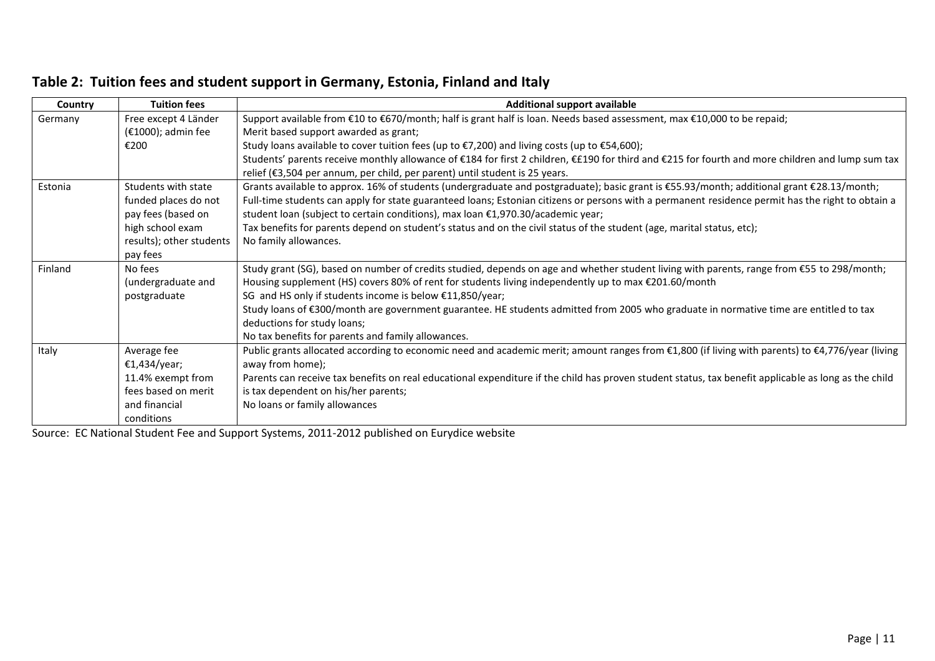|  |  |  |  |  | Table 2: Tuition fees and student support in Germany, Estonia, Finland and Italy |  |  |  |
|--|--|--|--|--|----------------------------------------------------------------------------------|--|--|--|
|--|--|--|--|--|----------------------------------------------------------------------------------|--|--|--|

| Country | <b>Tuition fees</b>      | <b>Additional support available</b>                                                                                                                  |  |  |  |  |
|---------|--------------------------|------------------------------------------------------------------------------------------------------------------------------------------------------|--|--|--|--|
| Germany | Free except 4 Länder     | Support available from €10 to €670/month; half is grant half is loan. Needs based assessment, max €10,000 to be repaid;                              |  |  |  |  |
|         | (€1000); admin fee       | Merit based support awarded as grant;                                                                                                                |  |  |  |  |
|         | €200                     | Study loans available to cover tuition fees (up to $\epsilon$ 7,200) and living costs (up to $\epsilon$ 54,600);                                     |  |  |  |  |
|         |                          | Students' parents receive monthly allowance of €184 for first 2 children, €£190 for third and €215 for fourth and more children and lump sum tax     |  |  |  |  |
|         |                          | relief (€3,504 per annum, per child, per parent) until student is 25 years.                                                                          |  |  |  |  |
| Estonia | Students with state      | Grants available to approx. 16% of students (undergraduate and postgraduate); basic grant is €55.93/month; additional grant €28.13/month;            |  |  |  |  |
|         | funded places do not     | Full-time students can apply for state guaranteed loans; Estonian citizens or persons with a permanent residence permit has the right to obtain a    |  |  |  |  |
|         | pay fees (based on       | student loan (subject to certain conditions), max loan €1,970.30/academic year;                                                                      |  |  |  |  |
|         | high school exam         | Tax benefits for parents depend on student's status and on the civil status of the student (age, marital status, etc);                               |  |  |  |  |
|         | results); other students | No family allowances.                                                                                                                                |  |  |  |  |
|         | pay fees                 |                                                                                                                                                      |  |  |  |  |
| Finland | No fees                  | Study grant (SG), based on number of credits studied, depends on age and whether student living with parents, range from €55 to 298/month;           |  |  |  |  |
|         | (undergraduate and       | Housing supplement (HS) covers 80% of rent for students living independently up to max €201.60/month                                                 |  |  |  |  |
|         | postgraduate             | SG and HS only if students income is below €11,850/year;                                                                                             |  |  |  |  |
|         |                          | Study loans of €300/month are government guarantee. HE students admitted from 2005 who graduate in normative time are entitled to tax                |  |  |  |  |
|         |                          | deductions for study loans;                                                                                                                          |  |  |  |  |
|         |                          | No tax benefits for parents and family allowances.                                                                                                   |  |  |  |  |
| Italy   | Average fee              | Public grants allocated according to economic need and academic merit; amount ranges from €1,800 (if living with parents) to €4,776/year (living     |  |  |  |  |
|         | €1,434/year;             | away from home);                                                                                                                                     |  |  |  |  |
|         | 11.4% exempt from        | Parents can receive tax benefits on real educational expenditure if the child has proven student status, tax benefit applicable as long as the child |  |  |  |  |
|         | fees based on merit      | is tax dependent on his/her parents;                                                                                                                 |  |  |  |  |
|         | and financial            | No loans or family allowances                                                                                                                        |  |  |  |  |
|         | conditions               |                                                                                                                                                      |  |  |  |  |

Source: EC National Student Fee and Support Systems, 2011-2012 published on Eurydice website